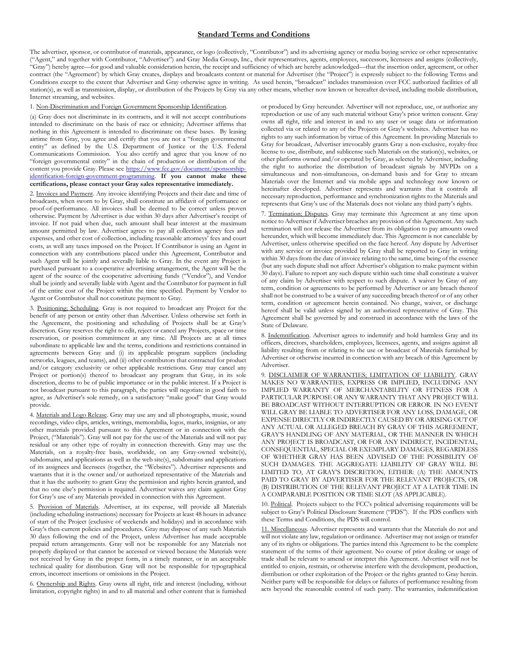## **Standard Terms and Conditions**

The advertiser, sponsor, or contributor of materials, appearance, or logo (collectively, "Contributor") and its advertising agency or media buying service or other representative ("Agent," and together with Contributor, "Advertiser") and Gray Media Group, Inc., their representatives, agents, employees, successors, licensees and assigns (collectively, "Gray") hereby agree—for good and valuable consideration herein, the receipt and sufficiency of which are hereby acknowledged—that the insertion order, agreement, or other contract (the "Agreement') by which Gray creates, displays and broadcasts content or material for Advertiser (the "Project") is expressly subject to the following Terms and Conditions except to the extent that Advertiser and Gray otherwise agree in writing. As used herein, "broadcast" includes transmission over FCC authorized facilities of all station(s), as well as transmission, display, or distribution of the Projects by Gray via any other means, whether now known or hereafter devised, including mobile distribution, Internet streaming, and websites.

## 1. Non-Discrimination and Foreign Government Sponsorship Identification.

(a) Gray does not discriminate in its contracts, and it will not accept contributions intended to discriminate on the basis of race or ethnicity; Advertiser affirms that nothing in this Agreement is intended to discriminate on these bases. By leasing airtime from Gray, you agree and certify that you are not a "foreign governmental entity" as defined by the U.S. Department of Justice or the U.S. Federal Communications Commission. You also certify and agree that you know of no "foreign governmental entity" in the chain of production or distribution of the content you provide Gray. Please see [https://www.fcc.gov/document/sponsorship](https://www.fcc.gov/document/sponsorship-identification-foreign-government-programming)[identification-foreign-government-programming.](https://www.fcc.gov/document/sponsorship-identification-foreign-government-programming) **If you cannot make these certifications, please contact your Gray sales representative immediately.**

2. Invoices and Payment. Any invoice identifying Projects and their date and time of broadcasts, when sworn to by Gray, shall constitute an affidavit of performance or proof-of-performance. All invoices shall be deemed to be correct unless proven otherwise. Payment by Advertiser is due within 30 days after Advertiser's receipt of invoice. If not paid when due, such amount shall bear interest at the maximum amount permitted by law. Advertiser agrees to pay all collection agency fees and expenses, and other cost of collection, including reasonable attorneys' fees and court costs, as well any taxes imposed on the Project. If Contributor is using an Agent in connection with any contributions placed under this Agreement, Contributor and such Agent will be jointly and severally liable to Gray. In the event any Project is purchased pursuant to a cooperative advertising arrangement, the Agent will be the agent of the source of the cooperative advertising funds ("Vendor"), and Vendor shall be jointly and severally liable with Agent and the Contributor for payment in full of the entire cost of the Project within the time specified. Payment by Vendor to Agent or Contributor shall not constitute payment to Gray.

3. Positioning; Scheduling. Gray is not required to broadcast any Project for the benefit of any person or entity other than Advertiser. Unless otherwise set forth in the Agreement, the positioning and scheduling of Projects shall be at Gray's discretion. Gray reserves the right to edit, reject or cancel any Projects, space or time reservation, or position commitment at any time. All Projects are at all times subordinate to applicable law and the terms, conditions and restrictions contained in agreements between Gray and (i) its applicable program suppliers (including networks, leagues, and teams), and (ii) other contributors that contracted for product and/or category exclusivity or other applicable restrictions. Gray may cancel any Project or portion(s) thereof to broadcast any program that Gray, in its sole discretion, deems to be of public importance or in the public interest. If a Project is not broadcast pursuant to this paragraph, the parties will negotiate in good faith to agree, as Advertiser's sole remedy, on a satisfactory "make good" that Gray would provide.

4. Materials and Logo Release. Gray may use any and all photographs, music, sound recordings, video clips, articles, writings, memorabilia, logos, marks, insignias, or any other materials provided pursuant to this Agreement or in connection with the Project, ("Materials"). Gray will not pay for the use of the Materials and will not pay residual or any other type of royalty in connection therewith. Gray may use the Materials, on a royalty-free basis, worldwide, on any Gray-owned website(s), subdomains, and applications as well as the web site(s), subdomains and applications of its assignees and licensees (together, the "Websites"). Advertiser represents and warrants that it is the owner and/or authorized representative of the Materials and that it has the authority to grant Gray the permission and rights herein granted, and that no one else's permission is required. Advertiser waives any claim against Gray for Gray's use of any Materials provided in connection with this Agreement.

5. Provision of Materials. Advertiser, at its expense, will provide all Materials (including scheduling instructions) necessary for Projects at least 48 hours in advance of start of the Project (exclusive of weekends and holidays) and in accordance with Gray's then-current policies and procedures. Gray may dispose of any such Materials 30 days following the end of the Project, unless Advertiser has made acceptable prepaid return arrangements. Gray will not be responsible for any Materials not properly displayed or that cannot be accessed or viewed because the Materials were not received by Gray in the proper form, in a timely manner, or in an acceptable technical quality for distribution. Gray will not be responsible for typographical errors, incorrect insertions or omissions in the Project.

6. Ownership and Rights. Gray owns all right, title and interest (including, without limitation, copyright rights) in and to all material and other content that is furnished or produced by Gray hereunder. Advertiser will not reproduce, use, or authorize any reproduction or use of any such material without Gray's prior written consent. Gray owns all right, title and interest in and to any user or usage data or information collected via or related to any of the Projects or Gray's websites. Advertiser has no rights to any such information by virtue of this Agreement. In providing Materials to Gray for broadcast, Advertiser irrevocably grants Gray a non-exclusive, royalty-free license to use, distribute, and sublicense such Materials on the station(s), websites, or other platforms owned and/or operated by Gray, as selected by Advertiser, including the right to authorize the distribution of broadcast signals by MVPDs on a simultaneous and non-simultaneous, on-demand basis and for Gray to stream Materials over the Internet and via mobile apps and technology now known or hereinafter developed. Advertiser represents and warrants that it controls all necessary reproduction, performance and synchronization rights to the Materials and represents that Gray's use of the Materials does not violate any third party's rights.

7. Termination; Disputes. Gray may terminate this Agreement at any time upon notice to Advertiser if Advertiser breaches any provision of this Agreement. Any such termination will not release the Advertiser from its obligation to pay amounts owed hereunder, which will become immediately due. This Agreement is not cancelable by Advertiser, unless otherwise specified on the face hereof. Any dispute by Advertiser with any service or invoice provided by Gray shall be reported to Gray in writing within 30 days from the date of invoice relating to the same, time being of the essence (but any such dispute shall not affect Advertiser's obligation to make payment within 30 days). Failure to report any such dispute within such time shall constitute a waiver of any claim by Advertiser with respect to such dispute. A waiver by Gray of any term, condition or agreements to be performed by Advertiser or any breach thereof shall not be construed to be a waiver of any succeeding breach thereof or of any other term, condition or agreement herein contained. No change, waiver, or discharge hereof shall be valid unless signed by an authorized representative of Gray. This Agreement shall be governed by and construed in accordance with the laws of the State of Delaware.

8. Indemnification. Advertiser agrees to indemnify and hold harmless Gray and its officers, directors, shareholders, employees, licensees, agents, and assigns against all liability resulting from or relating to the use or broadcast of Materials furnished by Advertiser or otherwise incurred in connection with any breach of this Agreement by Advertiser.

9. DISCLAIMER OF WARRANTIES; LIMITATION OF LIABILITY. GRAY MAKES NO WARRANTIES, EXPRESS OR IMPLIED, INCLUDING ANY IMPLIED WARRANTY OF MERCHANTABILITY OR FITNESS FOR A PARTICULAR PURPOSE OR ANY WARRANTY THAT ANY PROJECT WILL BE BROADCAST WITHOUT INTERRUPTION OR ERROR. IN NO EVENT WILL GRAY BE LIABLE TO ADVERTISER FOR ANY LOSS, DAMAGE, OR EXPENSE DIRECTLY OR INDIRECTLY CAUSED BY OR ARISING OUT OF ANY ACTUAL OR ALLEGED BREACH BY GRAY OF THIS AGREEMENT, GRAY'S HANDLING OF ANY MATERIAL, OR THE MANNER IN WHICH ANY PROJECT IS BROADCAST, OR FOR ANY INDIRECT, INCIDENTAL, CONSEQUENTIAL, SPECIAL OR EXEMPLARY DAMAGES, REGARDLESS OF WHETHER GRAY HAS BEEN ADVISED OF THE POSSIBILITY OF SUCH DAMAGES. THE AGGREGATE LIABILITY OF GRAY WILL BE LIMITED TO, AT GRAY'S DISCRETION, EITHER: (A) THE AMOUNTS PAID TO GRAY BY ADVERTISER FOR THE RELEVANT PROJECTS, OR (B) DISTRIBUTION OF THE RELEVANT PROJECT AT A LATER TIME IN A COMPARABLE POSITION OR TIME SLOT (AS APPLICABLE).

10. Political. Projects subject to the FCC's political advertising requirements will be subject to Gray's Political Disclosure Statement ("PDS"). If the PDS conflicts with these Terms and Conditions, the PDS will control.

11. Miscellaneous. Advertiser represents and warrants that the Materials do not and will not violate any law, regulation or ordinance. Advertiser may not assign or transfer any of its rights or obligations. The parties intend this Agreement to be the complete statement of the terms of their agreement. No course of prior dealing or usage of trade shall be relevant to amend or interpret this Agreement. Advertiser will not be entitled to enjoin, restrain, or otherwise interfere with the development, production, distribution or other exploitation of the Project or the rights granted to Gray herein. Neither party will be responsible for delays or failures of performance resulting from acts beyond the reasonable control of such party. The warranties, indemnification